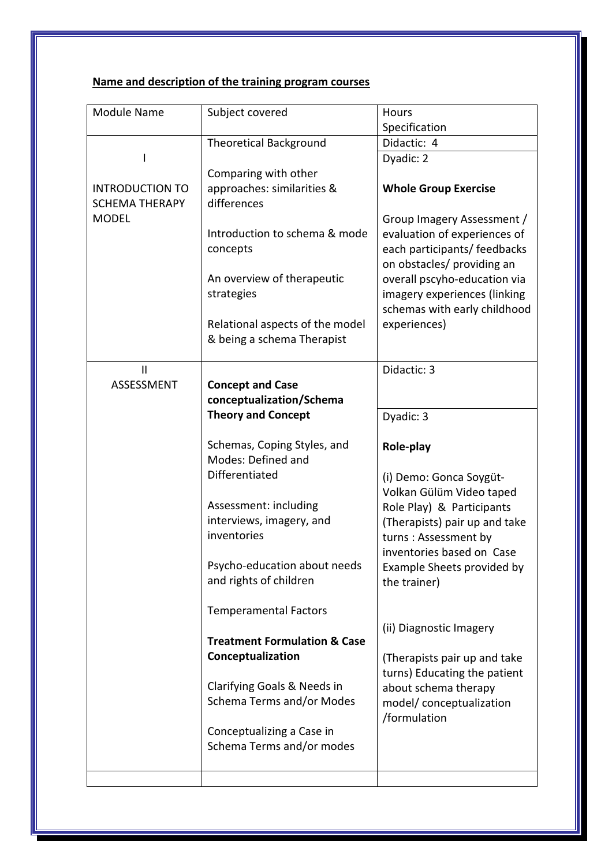## **Name and description of the training program courses**

| <b>Module Name</b>     | Subject covered                                   | Hours                                                        |
|------------------------|---------------------------------------------------|--------------------------------------------------------------|
|                        |                                                   | Specification                                                |
|                        | <b>Theoretical Background</b>                     | Didactic: 4                                                  |
|                        |                                                   | Dyadic: 2                                                    |
|                        | Comparing with other                              |                                                              |
| <b>INTRODUCTION TO</b> | approaches: similarities &                        | <b>Whole Group Exercise</b>                                  |
| <b>SCHEMA THERAPY</b>  | differences                                       |                                                              |
| <b>MODEL</b>           |                                                   | Group Imagery Assessment /                                   |
|                        | Introduction to schema & mode                     | evaluation of experiences of                                 |
|                        | concepts                                          | each participants/ feedbacks                                 |
|                        |                                                   | on obstacles/ providing an                                   |
|                        | An overview of therapeutic<br>strategies          | overall pscyho-education via                                 |
|                        |                                                   | imagery experiences (linking<br>schemas with early childhood |
|                        | Relational aspects of the model                   | experiences)                                                 |
|                        | & being a schema Therapist                        |                                                              |
|                        |                                                   |                                                              |
| $\mathbf{H}$           |                                                   | Didactic: 3                                                  |
| <b>ASSESSMENT</b>      | <b>Concept and Case</b>                           |                                                              |
|                        | conceptualization/Schema                          |                                                              |
|                        | <b>Theory and Concept</b>                         | Dyadic: 3                                                    |
|                        |                                                   |                                                              |
|                        | Schemas, Coping Styles, and<br>Modes: Defined and | Role-play                                                    |
|                        | Differentiated                                    | (i) Demo: Gonca Soygüt-                                      |
|                        |                                                   | Volkan Gülüm Video taped                                     |
|                        | Assessment: including                             | Role Play) & Participants                                    |
|                        | interviews, imagery, and                          | (Therapists) pair up and take                                |
|                        | inventories                                       | turns: Assessment by                                         |
|                        |                                                   | inventories based on Case                                    |
|                        | Psycho-education about needs                      | Example Sheets provided by                                   |
|                        | and rights of children                            | the trainer)                                                 |
|                        |                                                   |                                                              |
|                        | <b>Temperamental Factors</b>                      |                                                              |
|                        | <b>Treatment Formulation &amp; Case</b>           | (ii) Diagnostic Imagery                                      |
|                        | Conceptualization                                 | (Therapists pair up and take                                 |
|                        |                                                   | turns) Educating the patient                                 |
|                        | Clarifying Goals & Needs in                       | about schema therapy                                         |
|                        | Schema Terms and/or Modes                         | model/ conceptualization                                     |
|                        |                                                   | /formulation                                                 |
|                        | Conceptualizing a Case in                         |                                                              |
|                        | Schema Terms and/or modes                         |                                                              |
|                        |                                                   |                                                              |
|                        |                                                   |                                                              |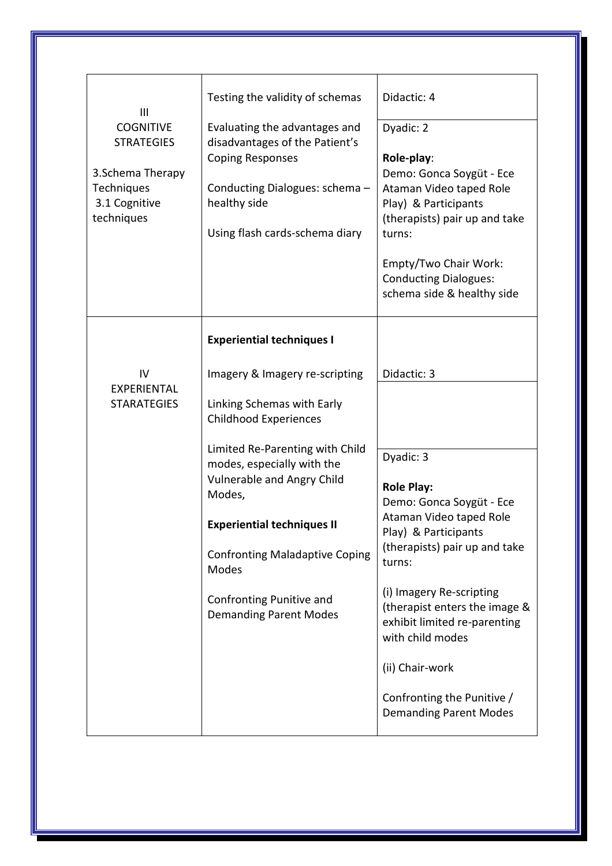| $\mathbf{III}$<br><b>COGNITIVE</b><br><b>STRATEGIES</b><br>3. Schema Therapy<br>Techniques<br>3.1 Cognitive<br>techniques | Testing the validity of schemas<br>Evaluating the advantages and<br>disadvantages of the Patient's<br><b>Coping Responses</b><br>Conducting Dialogues: schema -<br>healthy side<br>Using flash cards-schema diary | Didactic: 4<br>Dyadic: 2<br>Role-play:<br>Demo: Gonca Soygüt - Ece<br>Ataman Video taped Role<br>Play) & Participants<br>(therapists) pair up and take<br>turns:<br>Empty/Two Chair Work:<br><b>Conducting Dialogues:</b><br>schema side & healthy side |
|---------------------------------------------------------------------------------------------------------------------------|-------------------------------------------------------------------------------------------------------------------------------------------------------------------------------------------------------------------|---------------------------------------------------------------------------------------------------------------------------------------------------------------------------------------------------------------------------------------------------------|
| IV<br><b>EXPERIENTAL</b>                                                                                                  | <b>Experiential techniques I</b><br>Imagery & Imagery re-scripting                                                                                                                                                | Didactic: 3                                                                                                                                                                                                                                             |
| <b>STARATEGIES</b>                                                                                                        | Linking Schemas with Early<br><b>Childhood Experiences</b>                                                                                                                                                        |                                                                                                                                                                                                                                                         |
|                                                                                                                           | Limited Re-Parenting with Child<br>modes, especially with the<br>Vulnerable and Angry Child<br>Modes,                                                                                                             | Dyadic: 3<br><b>Role Play:</b><br>Demo: Gonca Soygüt - Ece                                                                                                                                                                                              |
|                                                                                                                           | <b>Experiential techniques II</b>                                                                                                                                                                                 | Ataman Video taped Role<br>Play) & Participants                                                                                                                                                                                                         |
|                                                                                                                           | <b>Confronting Maladaptive Coping</b><br>Modes                                                                                                                                                                    | (therapists) pair up and take<br>turns:                                                                                                                                                                                                                 |
|                                                                                                                           | Confronting Punitive and<br><b>Demanding Parent Modes</b>                                                                                                                                                         | (i) Imagery Re-scripting<br>(therapist enters the image &<br>exhibit limited re-parenting<br>with child modes                                                                                                                                           |
|                                                                                                                           |                                                                                                                                                                                                                   | (ii) Chair-work                                                                                                                                                                                                                                         |
|                                                                                                                           |                                                                                                                                                                                                                   | Confronting the Punitive /<br><b>Demanding Parent Modes</b>                                                                                                                                                                                             |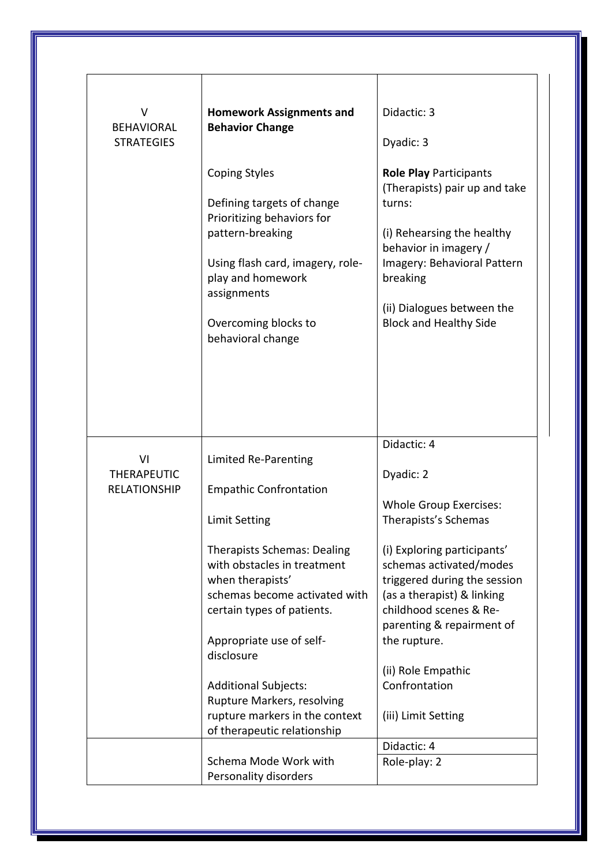| v<br><b>BEHAVIORAL</b><br><b>STRATEGIES</b>     | <b>Homework Assignments and</b><br><b>Behavior Change</b><br><b>Coping Styles</b><br>Defining targets of change<br>Prioritizing behaviors for<br>pattern-breaking<br>Using flash card, imagery, role-<br>play and homework<br>assignments<br>Overcoming blocks to<br>behavioral change                                                                                                                        | Didactic: 3<br>Dyadic: 3<br><b>Role Play Participants</b><br>(Therapists) pair up and take<br>turns:<br>(i) Rehearsing the healthy<br>behavior in imagery /<br>Imagery: Behavioral Pattern<br>breaking<br>(ii) Dialogues between the<br><b>Block and Healthy Side</b>                                                                          |
|-------------------------------------------------|---------------------------------------------------------------------------------------------------------------------------------------------------------------------------------------------------------------------------------------------------------------------------------------------------------------------------------------------------------------------------------------------------------------|------------------------------------------------------------------------------------------------------------------------------------------------------------------------------------------------------------------------------------------------------------------------------------------------------------------------------------------------|
| VI<br><b>THERAPEUTIC</b><br><b>RELATIONSHIP</b> | Limited Re-Parenting<br><b>Empathic Confrontation</b><br><b>Limit Setting</b><br><b>Therapists Schemas: Dealing</b><br>with obstacles in treatment<br>when therapists'<br>schemas become activated with<br>certain types of patients.<br>Appropriate use of self-<br>disclosure<br><b>Additional Subjects:</b><br>Rupture Markers, resolving<br>rupture markers in the context<br>of therapeutic relationship | Didactic: 4<br>Dyadic: 2<br><b>Whole Group Exercises:</b><br>Therapists's Schemas<br>(i) Exploring participants'<br>schemas activated/modes<br>triggered during the session<br>(as a therapist) & linking<br>childhood scenes & Re-<br>parenting & repairment of<br>the rupture.<br>(ii) Role Empathic<br>Confrontation<br>(iii) Limit Setting |
|                                                 | Schema Mode Work with<br>Personality disorders                                                                                                                                                                                                                                                                                                                                                                | Didactic: 4<br>Role-play: 2                                                                                                                                                                                                                                                                                                                    |